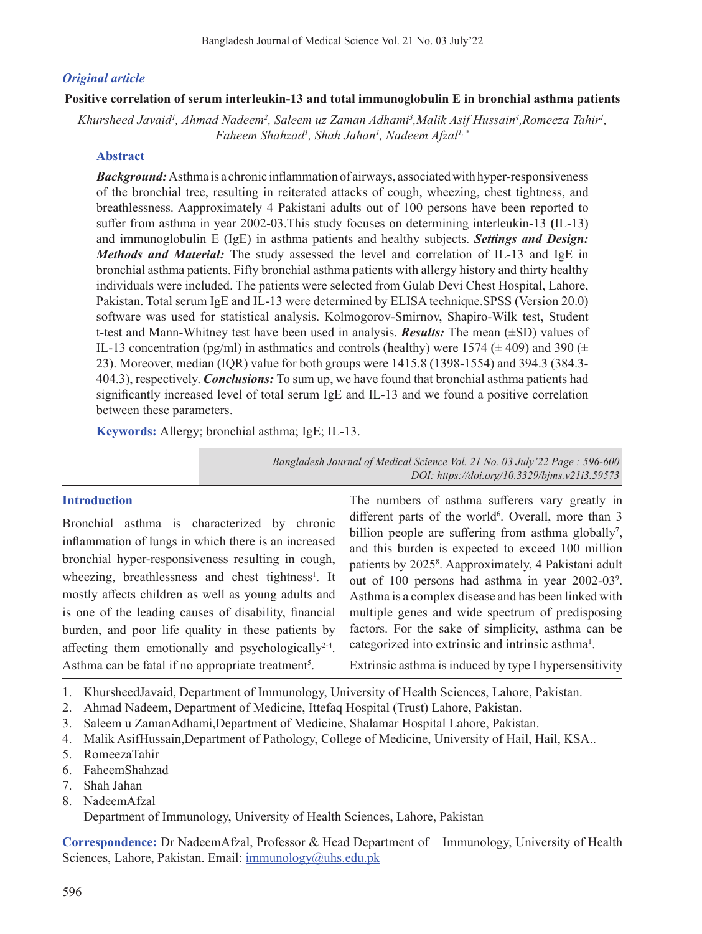# *Original article*

### **Positive correlation of serum interleukin-13 and total immunoglobulin E in bronchial asthma patients**

Khursheed Javaid<sup>1</sup>, Ahmad Nadeem<sup>2</sup>, Saleem uz Zaman Adhami<sup>3</sup>,Malik Asif Hussain<sup>4</sup>,Romeeza Tahir<sup>1</sup>, *Faheem Shahzad1 , Shah Jahan1 , Nadeem Afzal1, \**

## **Abstract**

*Background:* Asthma is a chronic inflammation of airways, associated with hyper-responsiveness of the bronchial tree, resulting in reiterated attacks of cough, wheezing, chest tightness, and breathlessness. Aapproximately 4 Pakistani adults out of 100 persons have been reported to suffer from asthma in year 2002-03.This study focuses on determining interleukin-13 **(**IL-13) and immunoglobulin E (IgE) in asthma patients and healthy subjects. *Settings and Design: Methods and Material:* The study assessed the level and correlation of IL-13 and IgE in bronchial asthma patients. Fifty bronchial asthma patients with allergy history and thirty healthy individuals were included. The patients were selected from Gulab Devi Chest Hospital, Lahore, Pakistan. Total serum IgE and IL-13 were determined by ELISA technique.SPSS (Version 20.0) software was used for statistical analysis. Kolmogorov-Smirnov, Shapiro-Wilk test, Student t-test and Mann-Whitney test have been used in analysis. *Results:* The mean (±SD) values of IL-13 concentration (pg/ml) in asthmatics and controls (healthy) were 1574 ( $\pm$  409) and 390 ( $\pm$ 23). Moreover, median (IQR) value for both groups were 1415.8 (1398-1554) and 394.3 (384.3- 404.3), respectively. *Conclusions:* To sum up, we have found that bronchial asthma patients had significantly increased level of total serum IgE and IL-13 and we found a positive correlation between these parameters.

**Keywords:** Allergy; bronchial asthma; IgE; IL-13.

*Bangladesh Journal of Medical Science Vol. 21 No. 03 July'22 Page : 596-600 DOI: https://doi.org/10.3329/bjms.v21i3.59573*

#### **Introduction**

Bronchial asthma is characterized by chronic inflammation of lungs in which there is an increased bronchial hyper-responsiveness resulting in cough, wheezing, breathlessness and chest tightness<sup>1</sup>. It mostly affects children as well as young adults and is one of the leading causes of disability, financial burden, and poor life quality in these patients by affecting them emotionally and psychologically<sup>2-4</sup>. Asthma can be fatal if no appropriate treatment<sup>5</sup>.

The numbers of asthma sufferers vary greatly in different parts of the world<sup>6</sup>. Overall, more than 3 billion people are suffering from asthma globally<sup>7</sup>, and this burden is expected to exceed 100 million patients by 2025<sup>8</sup>. Aapproximately, 4 Pakistani adult out of 100 persons had asthma in year 2002-03<sup>9</sup>. Asthma is a complex disease and has been linked with multiple genes and wide spectrum of predisposing factors. For the sake of simplicity, asthma can be categorized into extrinsic and intrinsic asthma<sup>1</sup>.

Extrinsic asthma is induced by type I hypersensitivity

- 1. KhursheedJavaid, Department of Immunology, University of Health Sciences, Lahore, Pakistan.
- 2. Ahmad Nadeem, Department of Medicine, Ittefaq Hospital (Trust) Lahore, Pakistan.
- 3. Saleem u ZamanAdhami,Department of Medicine, Shalamar Hospital Lahore, Pakistan.
- 4. Malik AsifHussain,Department of Pathology, College of Medicine, University of Hail, Hail, KSA..
- 5. RomeezaTahir
- 6. FaheemShahzad
- 7. Shah Jahan
- 8. NadeemAfzal Department of Immunology, University of Health Sciences, Lahore, Pakistan

**Correspondence:** Dr NadeemAfzal, Professor & Head Department of Immunology, University of Health Sciences, Lahore, Pakistan. Email: immunology@uhs.edu.pk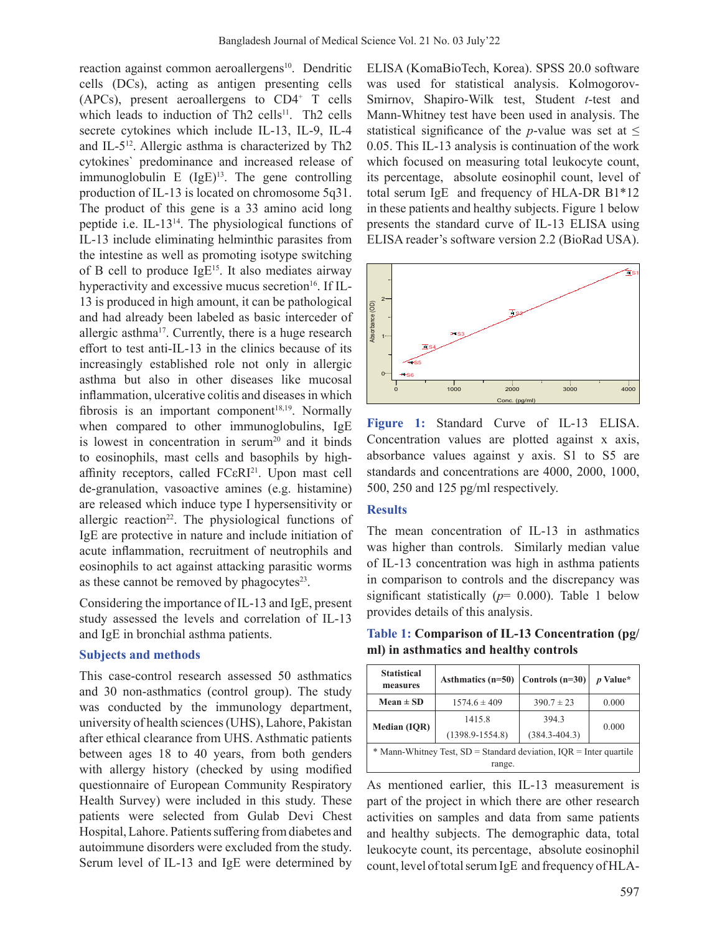reaction against common aeroallergens<sup>10</sup>. Dendritic cells (DCs), acting as antigen presenting cells (APCs), present aeroallergens to CD4<sup>+</sup> T cells which leads to induction of Th2 cells<sup>11</sup>. Th2 cells secrete cytokines which include IL-13, IL-9, IL-4 and IL-512. Allergic asthma is characterized by Th2 cytokines` predominance and increased release of immunoglobulin E  $(IgE)^{13}$ . The gene controlling production of IL-13 is located on chromosome 5q31. The product of this gene is a 33 amino acid long peptide i.e. IL-1314. The physiological functions of IL-13 include eliminating helminthic parasites from the intestine as well as promoting isotype switching of B cell to produce  $IgE^{15}$ . It also mediates airway hyperactivity and excessive mucus secretion<sup>16</sup>. If IL-13 is produced in high amount, it can be pathological and had already been labeled as basic interceder of allergic asthma<sup>17</sup>. Currently, there is a huge research effort to test anti-IL-13 in the clinics because of its increasingly established role not only in allergic asthma but also in other diseases like mucosal inflammation, ulcerative colitis and diseases in which fibrosis is an important component<sup>18,19</sup>. Normally when compared to other immunoglobulins, IgE is lowest in concentration in serum<sup>20</sup> and it binds to eosinophils, mast cells and basophils by highaffinity receptors, called FCεRI<sup>21</sup>. Upon mast cell de-granulation, vasoactive amines (e.g. histamine) are released which induce type I hypersensitivity or allergic reaction<sup>22</sup>. The physiological functions of IgE are protective in nature and include initiation of acute inflammation, recruitment of neutrophils and eosinophils to act against attacking parasitic worms as these cannot be removed by phagocytes $23$ .

Considering the importance of IL-13 and IgE, present study assessed the levels and correlation of IL-13 and IgE in bronchial asthma patients.

### **Subjects and methods**

This case-control research assessed 50 asthmatics and 30 non-asthmatics (control group). The study was conducted by the immunology department, university of health sciences(UHS), Lahore, Pakistan after ethical clearance from UHS. Asthmatic patients between ages 18 to 40 years, from both genders with allergy history (checked by using modified questionnaire of European Community Respiratory Health Survey) were included in this study. These patients were selected from Gulab Devi Chest Hospital, Lahore. Patients suffering from diabetes and autoimmune disorders were excluded from the study. Serum level of IL-13 and IgE were determined by

ELISA (KomaBioTech, Korea). SPSS 20.0 software was used for statistical analysis. Kolmogorov-Smirnov, Shapiro-Wilk test, Student *t*-test and Mann-Whitney test have been used in analysis. The statistical significance of the *p*-value was set at  $\leq$ 0.05. This IL-13 analysis is continuation of the work which focused on measuring total leukocyte count, its percentage, absolute eosinophil count, level of total serum IgE and frequency of HLA-DR B1\*12 in these patients and healthy subjects. Figure 1 below presents the standard curve of IL-13 ELISA using ELISA reader's software version 2.2 (BioRad USA).



**Figure 1:** Standard Curve of IL-13 ELISA. Concentration values are plotted against x axis, absorbance values against y axis. S1 to S5 are standards and concentrations are 4000, 2000, 1000, 500, 250 and 125 pg/ml respectively.

### **Results**

The mean concentration of IL-13 in asthmatics was higher than controls. Similarly median value of IL-13 concentration was high in asthma patients in comparison to controls and the discrepancy was significant statistically (*p*= 0.000). Table 1 below provides details of this analysis.

**Table 1: Comparison of IL-13 Concentration (pg/ ml) in asthmatics and healthy controls**

| <b>Statistical</b><br>measures                                               | Asthmatics $(n=50)$           | Controls $(n=30)$          | <i>p</i> Value* |  |  |  |  |
|------------------------------------------------------------------------------|-------------------------------|----------------------------|-----------------|--|--|--|--|
| $Mean \pm SD$                                                                | $1574.6 \pm 409$              | $390.7 \pm 23$             |                 |  |  |  |  |
| <b>Median (IQR)</b>                                                          | 1415.8<br>$(1398.9 - 1554.8)$ | 394.3<br>$(384.3 - 404.3)$ | 0.000           |  |  |  |  |
| * Mann-Whitney Test, SD = Standard deviation, IQR = Inter quartile<br>range. |                               |                            |                 |  |  |  |  |

As mentioned earlier, this IL-13 measurement is part of the project in which there are other research activities on samples and data from same patients and healthy subjects. The demographic data, total leukocyte count, its percentage, absolute eosinophil count, level of total serum IgE and frequency of HLA-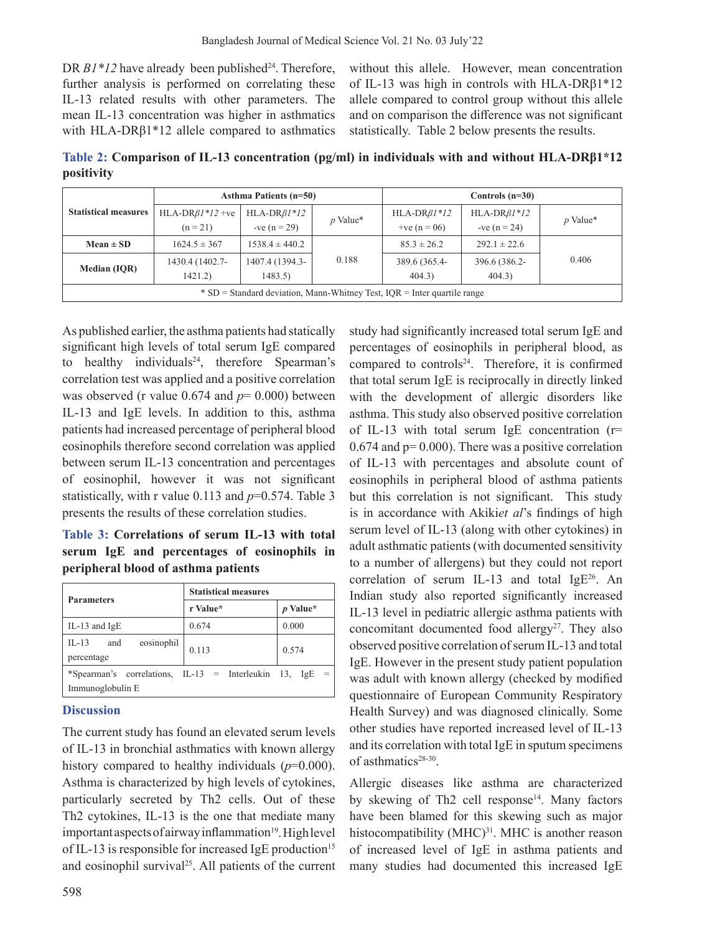DR B1\*12 have already been published<sup>24</sup>. Therefore, further analysis is performed on correlating these IL-13 related results with other parameters. The mean IL-13 concentration was higher in asthmatics with HLA-DRβ1\*12 allele compared to asthmatics

without this allele. However, mean concentration of IL-13 was high in controls with HLA-DRβ1\*12 allele compared to control group without this allele and on comparison the difference was not significant statistically. Table 2 below presents the results.

**Table 2: Comparison of IL-13 concentration (pg/ml) in individuals with and without HLA-DRβ1\*12 positivity**

|                                                                                | <b>Asthma Patients (n=50)</b> |                            |            | Controls $(n=30)$       |                         |            |  |
|--------------------------------------------------------------------------------|-------------------------------|----------------------------|------------|-------------------------|-------------------------|------------|--|
| <b>Statistical measures</b>                                                    | HLA-DR $\beta$ 1*12 + ve      | $HLA-DR\beta I*12$         | $p$ Value* | $HLA-DRBI*12$           | $HLA-DR\beta I*12$      | $p$ Value* |  |
|                                                                                | $(n = 21)$                    | $-ve (n = 29)$             |            | + $ve (n = 06)$         | $-ve (n = 24)$          |            |  |
| $Mean \pm SD$                                                                  | $1624.5 \pm 367$              | $1538.4 \pm 440.2$         |            | $85.3 \pm 26.2$         | $292.1 \pm 22.6$        |            |  |
| <b>Median (IOR)</b>                                                            | 1430.4 (1402.7-<br>1421.2)    | 1407.4 (1394.3-<br>1483.5) | 0.188      | 389.6 (365.4-<br>404.3) | 396.6 (386.2-<br>404.3) | 0.406      |  |
| $\cdot$ SD = Standard deviation, Mann-Whitney Test, IQR = Inter quartile range |                               |                            |            |                         |                         |            |  |

As published earlier, the asthma patients had statically significant high levels of total serum IgE compared to healthy individuals<sup>24</sup>, therefore Spearman's correlation test was applied and a positive correlation was observed (r value 0.674 and  $p=0.000$ ) between IL-13 and IgE levels. In addition to this, asthma patients had increased percentage of peripheral blood eosinophils therefore second correlation was applied between serum IL-13 concentration and percentages of eosinophil, however it was not significant statistically, with r value 0.113 and *p*=0.574. Table 3 presents the results of these correlation studies.

**Table 3: Correlations of serum IL-13 with total serum IgE and percentages of eosinophils in peripheral blood of asthma patients**

| <b>Parameters</b>                                                     | <b>Statistical measures</b> |                 |  |  |  |
|-----------------------------------------------------------------------|-----------------------------|-----------------|--|--|--|
|                                                                       | r Value*                    | <i>p</i> Value* |  |  |  |
| IL-13 and $IgE$                                                       | 0.674                       | 0.000           |  |  |  |
| $IL-13$<br>eosinophil<br>and<br>percentage                            | 0.113                       | 0.574           |  |  |  |
| *Spearman's correlations, IL-13 = Interleukin 13,<br>Immunoglobulin E |                             | IgE             |  |  |  |

### **Discussion**

The current study has found an elevated serum levels of IL-13 in bronchial asthmatics with known allergy history compared to healthy individuals (*p*=0.000). Asthma is characterized by high levels of cytokines, particularly secreted by Th2 cells. Out of these Th2 cytokines, IL-13 is the one that mediate many important aspects of airway inflammation<sup>19</sup>. High level of IL-13 is responsible for increased IgE production<sup>15</sup> and eosinophil survival<sup>25</sup>. All patients of the current percentages of eosinophils in peripheral blood, as compared to controls $24$ . Therefore, it is confirmed that total serum IgE is reciprocally in directly linked with the development of allergic disorders like asthma. This study also observed positive correlation of IL-13 with total serum IgE concentration (r=  $0.674$  and  $p= 0.000$ . There was a positive correlation of IL-13 with percentages and absolute count of eosinophils in peripheral blood of asthma patients but this correlation is not significant. This study is in accordance with Akiki*et al*'s findings of high serum level of IL-13 (along with other cytokines) in adult asthmatic patients (with documented sensitivity to a number of allergens) but they could not report correlation of serum IL-13 and total IgE<sup>26</sup>. An Indian study also reported significantly increased IL-13 level in pediatric allergic asthma patients with concomitant documented food allergy<sup>27</sup>. They also observed positive correlation of serum IL-13 and total IgE. However in the present study patient population was adult with known allergy (checked by modified questionnaire of European Community Respiratory Health Survey) and was diagnosed clinically. Some other studies have reported increased level of IL-13 and its correlation with total IgE in sputum specimens of asthmatics<sup>28-30</sup>.

study had significantly increased total serum IgE and

Allergic diseases like asthma are characterized by skewing of Th2 cell response<sup>14</sup>. Many factors have been blamed for this skewing such as major histocompatibility  $(MHC)^{31}$ . MHC is another reason of increased level of IgE in asthma patients and many studies had documented this increased IgE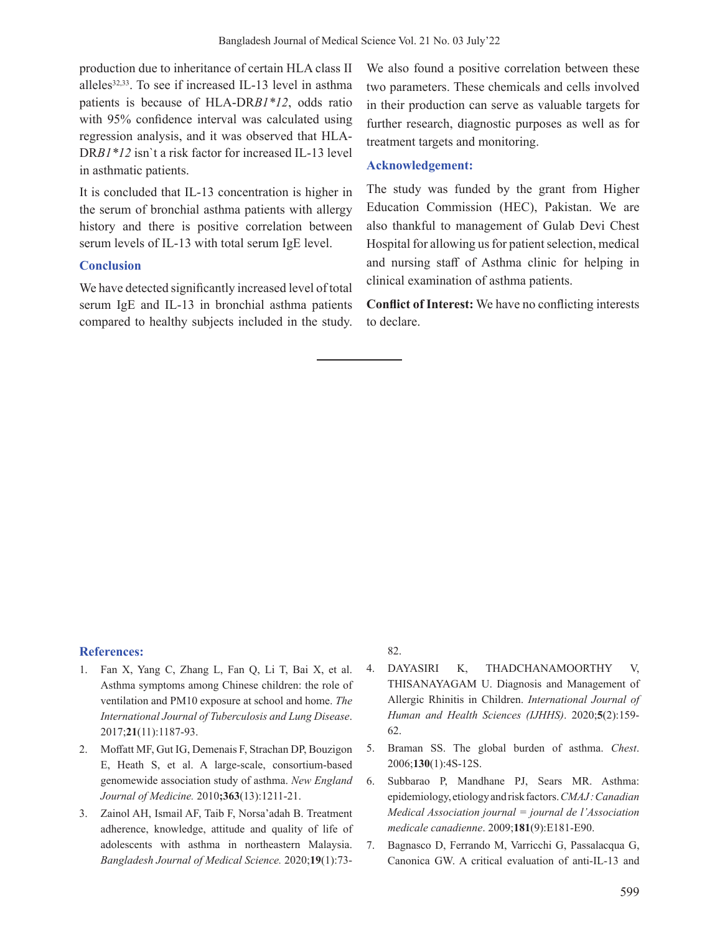production due to inheritance of certain HLA class II alleles<sup>32,33</sup>. To see if increased IL-13 level in asthma patients is because of HLA-DR*B1\*12*, odds ratio with 95% confidence interval was calculated using regression analysis, and it was observed that HLA-DR*B1\*12* isn`t a risk factor for increased IL-13 level in asthmatic patients.

It is concluded that IL-13 concentration is higher in the serum of bronchial asthma patients with allergy history and there is positive correlation between serum levels of IL-13 with total serum IgE level.

#### **Conclusion**

We have detected significantly increased level of total serum IgE and IL-13 in bronchial asthma patients compared to healthy subjects included in the study. We also found a positive correlation between these two parameters. These chemicals and cells involved in their production can serve as valuable targets for further research, diagnostic purposes as well as for treatment targets and monitoring.

#### **Acknowledgement:**

The study was funded by the grant from Higher Education Commission (HEC), Pakistan. We are also thankful to management of Gulab Devi Chest Hospital for allowing us for patient selection, medical and nursing staff of Asthma clinic for helping in clinical examination of asthma patients.

**Conflict of Interest:** We have no conflicting interests to declare.

### **References:**

- Fan X, Yang C, Zhang L, Fan Q, Li T, Bai X, et al. Asthma symptoms among Chinese children: the role of ventilation and PM10 exposure at school and home. *The International Journal of Tuberculosis and Lung Disease*. 2017;**21**(11):1187-93.
- 2. Moffatt MF, Gut IG, Demenais F, Strachan DP, Bouzigon E, Heath S, et al. A large-scale, consortium-based genomewide association study of asthma. *New England Journal of Medicine.* 2010**;363**(13):1211-21.
- 3. Zainol AH, Ismail AF, Taib F, Norsa'adah B. Treatment adherence, knowledge, attitude and quality of life of adolescents with asthma in northeastern Malaysia. *Bangladesh Journal of Medical Science.* 2020;**19**(1):73-

82.

- 4. DAYASIRI K, THADCHANAMOORTHY V, THISANAYAGAM U. Diagnosis and Management of Allergic Rhinitis in Children. *International Journal of Human and Health Sciences (IJHHS)*. 2020;**5**(2):159- 62.
- 5. Braman SS. The global burden of asthma. *Chest*. 2006;**130**(1):4S-12S.
- 6. Subbarao P, Mandhane PJ, Sears MR. Asthma: epidemiology,etiologyandriskfactors.*CMAJ : Canadian Medical Association journal = journal de l'Association medicale canadienne*. 2009;**181**(9):E181-E90.
- 7. Bagnasco D, Ferrando M, Varricchi G, Passalacqua G, Canonica GW. A critical evaluation of anti-IL-13 and